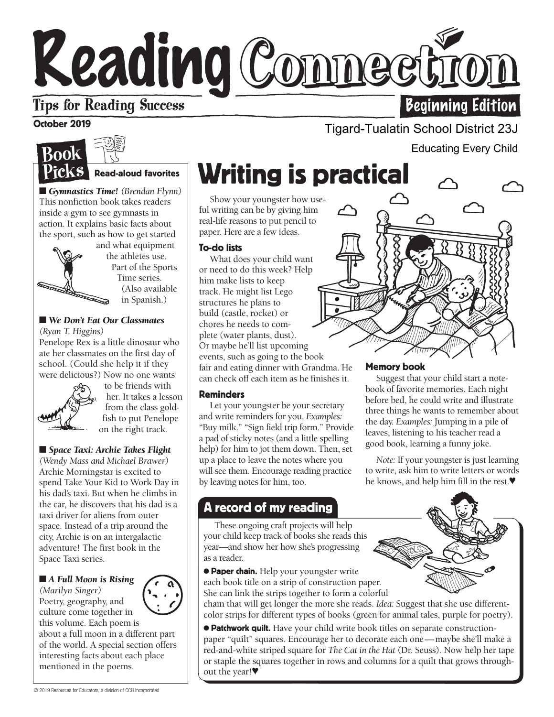# Reading Connect **Tips for Reading Success Beginning Edition**

# October 2019



## Read-aloud favorites

■ *Gymnastics Time!* (*Brendan Flynn*) This nonfiction book takes readers inside a gym to see gymnasts in action. It explains basic facts about the sport, such as how to get started



and what equipment the athletes use. Part of the Sports Time series. (Also available in Spanish.)

#### ■ *We Don't Eat Our Classmates (Ryan T. Higgins)*

Penelope Rex is a little dinosaur who ate her classmates on the first day of school. (Could she help it if they were delicious?) Now no one wants



to be friends with her. It takes a lesson from the class goldfish to put Penelope on the right track.

## ■ *Space Taxi: Archie Takes Flight*

*(Wendy Mass and Michael Brawer)*  Archie Morningstar is excited to spend Take Your Kid to Work Day in his dad's taxi. But when he climbs in the car, he discovers that his dad is a taxi driver for aliens from outer space. Instead of a trip around the city, Archie is on an intergalactic adventure! The first book in the Space Taxi series.

### ■ *A Full Moon is Rising*

*(Marilyn Singer)*  Poetry, geography, and culture come together in

this volume. Each poem is about a full moon in a different part of the world. A special section offers interesting facts about each place mentioned in the poems.

# Writing is practical

Show your youngster how useful writing can be by giving him real-life reasons to put pencil to paper. Here are a few ideas.

### To-do lists

What does your child want or need to do this week? Help him make lists to keep track. He might list Lego structures he plans to build (castle, rocket) or chores he needs to complete (water plants, dust). Or maybe he'll list upcoming events, such as going to the book fair and eating dinner with Grandma. He can check off each item as he finishes it.

### Reminders

Let your youngster be your secretary and write reminders for you. *Examples:* "Buy milk." "Sign field trip form." Provide a pad of sticky notes (and a little spelling help) for him to jot them down. Then, set up a place to leave the notes where you will see them. Encourage reading practice by leaving notes for him, too.

# A record of my reading

w These ongoing craft projects will help your child keep track of books she reads this year—and show her how she's progressing as a reader.

**• Paper chain.** Help your youngster write each book title on a strip of construction paper. She can link the strips together to form a colorful

chain that will get longer the more she reads. *Idea:* Suggest that she use differentcolor strips for different types of books (green for animal tales, purple for poetry).

● Patchwork quilt. Have your child write book titles on separate constructionpaper "quilt" squares. Encourage her to decorate each one—maybe she'll make a red-and-white striped square for *The Cat in the Hat* (Dr. Seuss). Now help her tape or staple the squares together in rows and columns for a quilt that grows throughout the year!♥

## Tigard-Tualatin School District 23J

Educating Every Child



## Memory book

Suggest that your child start a notebook of favorite memories. Each night before bed, he could write and illustrate three things he wants to remember about the day. *Examples:* Jumping in a pile of leaves, listening to his teacher read a good book, learning a funny joke.

*Note:* If your youngster is just learning to write, ask him to write letters or words he knows, and help him fill in the rest.♥